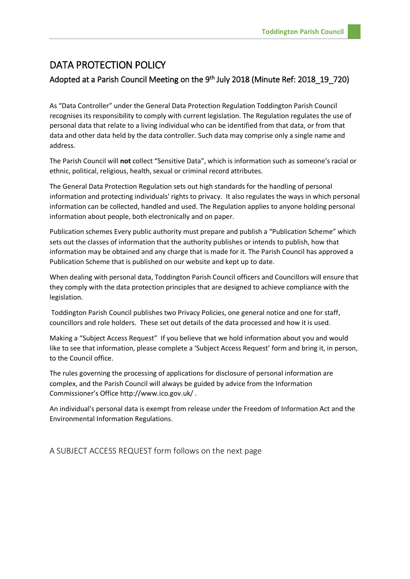## DATA PROTECTION POLICY

## Adopted at a Parish Council Meeting on the 9<sup>th</sup> July 2018 (Minute Ref: 2018\_19\_720)

As "Data Controller" under the General Data Protection Regulation Toddington Parish Council recognises its responsibility to comply with current legislation. The Regulation regulates the use of personal data that relate to a living individual who can be identified from that data, or from that data and other data held by the data controller. Such data may comprise only a single name and address.

The Parish Council will **not** collect "Sensitive Data", which is information such as someone's racial or ethnic, political, religious, health, sexual or criminal record attributes.

The General Data Protection Regulation sets out high standards for the handling of personal information and protecting individuals' rights to privacy. It also regulates the ways in which personal information can be collected, handled and used. The Regulation applies to anyone holding personal information about people, both electronically and on paper.

Publication schemes Every public authority must prepare and publish a "Publication Scheme" which sets out the classes of information that the authority publishes or intends to publish, how that information may be obtained and any charge that is made for it. The Parish Council has approved a Publication Scheme that is published on our website and kept up to date.

When dealing with personal data, Toddington Parish Council officers and Councillors will ensure that they comply with the data protection principles that are designed to achieve compliance with the legislation.

Toddington Parish Council publishes two Privacy Policies, one general notice and one for staff, councillors and role holders. These set out details of the data processed and how it is used.

Making a "Subject Access Request" If you believe that we hold information about you and would like to see that information, please complete a 'Subject Access Request' form and bring it, in person, to the Council office.

The rules governing the processing of applications for disclosure of personal information are complex, and the Parish Council will always be guided by advice from the Information Commissioner's Office http://www.ico.gov.uk/ .

An individual's personal data is exempt from release under the Freedom of Information Act and the Environmental Information Regulations.

A SUBJECT ACCESS REQUEST form follows on the next page